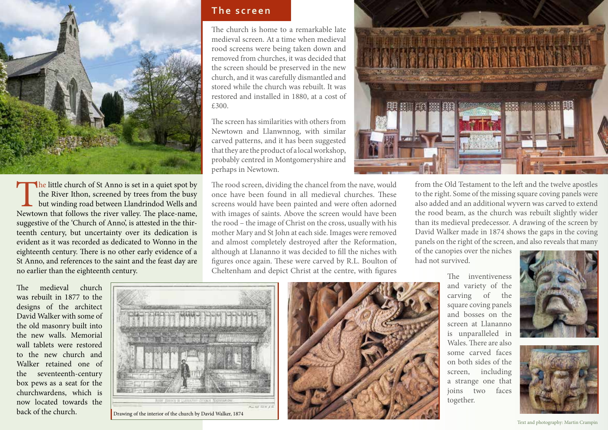

The little church of St Anno is set in a quiet spot by the River Ithon, screened by trees from the busy but winding road between Llandrindod Wells and Newtown that follows the river valley. The place-name, the River Ithon, screened by trees from the busy but winding road between Llandrindod Wells and suggestive of the 'Church of Anno', is attested in the thirteenth century, but uncertainty over its dedication is evident as it was recorded as dedicated to Wonno in the eighteenth century. There is no other early evidence of a St Anno, and references to the saint and the feast day are no earlier than the eighteenth century.

The medieval church was rebuilt in 1877 to the designs of the architect David Walker with some of the old masonry built into the new walls. Memorial wall tablets were restored to the new church and Walker retained one of the seventeenth-century box pews as a seat for the churchwardens, which is now located towards the back of the church.

## **The screen**

The church is home to a remarkable late medieval screen. At a time when medieval rood screens were being taken down and removed from churches, it was decided that the screen should be preserved in the new church, and it was carefully dismantled and stored while the church was rebuilt. It was restored and installed in 1880, at a cost of £300.

The screen has similarities with others from Newtown and Llanwnnog, with similar carved patterns, and it has been suggested that they are the product of a local workshop, probably centred in Montgomeryshire and perhaps in Newtown.

The rood screen, dividing the chancel from the nave, would once have been found in all medieval churches. These screens would have been painted and were often adorned with images of saints. Above the screen would have been the rood – the image of Christ on the cross, usually with his mother Mary and St John at each side. Images were removed and almost completely destroyed after the Reformation, although at Llananno it was decided to fill the niches with figures once again. These were carved by R.L. Boulton of Cheltenham and depict Christ at the centre, with figures



from the Old Testament to the left and the twelve apostles to the right. Some of the missing square coving panels were also added and an additional wyvern was carved to extend the rood beam, as the church was rebuilt slightly wider than its medieval predecessor. A drawing of the screen by David Walker made in 1874 shows the gaps in the coving panels on the right of the screen, and also reveals that many

of the canopies over the niches had not survived.

> The inventiveness and variety of the carving of the square coving panels and bosses on the screen at Llananno is unparalleled in Wales. There are also some carved faces on both sides of the screen, including a strange one that joins two faces together.





Text and photography: Martin Crampin